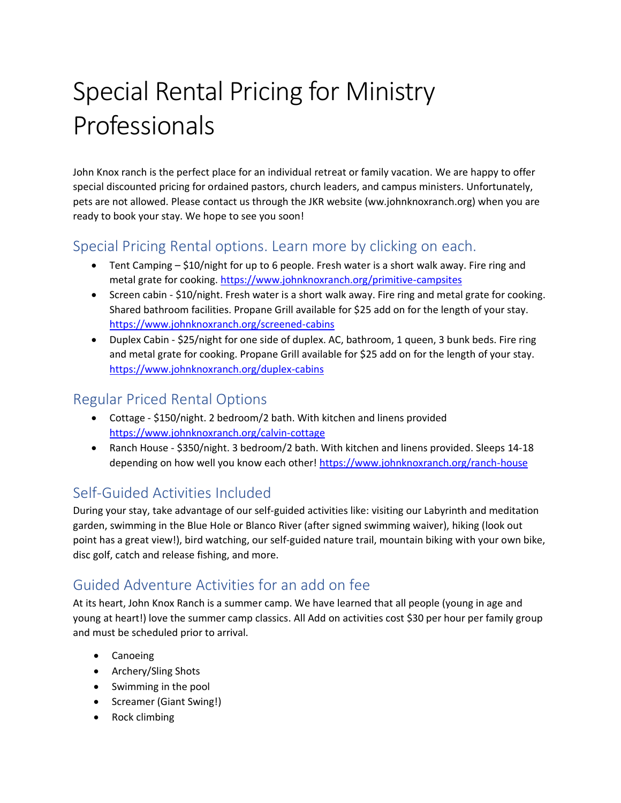# Special Rental Pricing for Ministry Professionals

John Knox ranch is the perfect place for an individual retreat or family vacation. We are happy to offer special discounted pricing for ordained pastors, church leaders, and campus ministers. Unfortunately, pets are not allowed. Please contact us through the JKR website (ww.johnknoxranch.org) when you are ready to book your stay. We hope to see you soon!

### Special Pricing Rental options. Learn more by clicking on each.

- Tent Camping \$10/night for up to 6 people. Fresh water is a short walk away. Fire ring and metal grate for cooking[. https://www.johnknoxranch.org/primitive-campsites](https://www.johnknoxranch.org/primitive-campsites)
- Screen cabin \$10/night. Fresh water is a short walk away. Fire ring and metal grate for cooking. Shared bathroom facilities. Propane Grill available for \$25 add on for the length of your stay. <https://www.johnknoxranch.org/screened-cabins>
- Duplex Cabin \$25/night for one side of duplex. AC, bathroom, 1 queen, 3 bunk beds. Fire ring and metal grate for cooking. Propane Grill available for \$25 add on for the length of your stay. <https://www.johnknoxranch.org/duplex-cabins>

#### Regular Priced Rental Options

- Cottage \$150/night. 2 bedroom/2 bath. With kitchen and linens provided <https://www.johnknoxranch.org/calvin-cottage>
- Ranch House \$350/night. 3 bedroom/2 bath. With kitchen and linens provided. Sleeps 14-18 depending on how well you know each other! <https://www.johnknoxranch.org/ranch-house>

## Self-Guided Activities Included

During your stay, take advantage of our self-guided activities like: visiting our Labyrinth and meditation garden, swimming in the Blue Hole or Blanco River (after signed swimming waiver), hiking (look out point has a great view!), bird watching, our self-guided nature trail, mountain biking with your own bike, disc golf, catch and release fishing, and more.

## Guided Adventure Activities for an add on fee

At its heart, John Knox Ranch is a summer camp. We have learned that all people (young in age and young at heart!) love the summer camp classics. All Add on activities cost \$30 per hour per family group and must be scheduled prior to arrival.

- Canoeing
- Archery/Sling Shots
- Swimming in the pool
- Screamer (Giant Swing!)
- Rock climbing